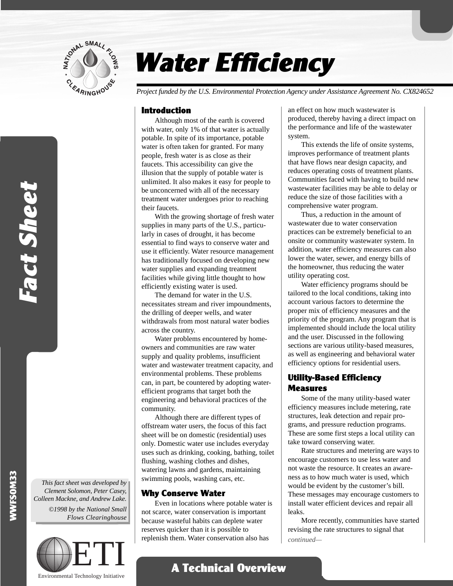

# Water Efficiency

*Project funded by the U.S. Environmental Protection Agency under Assistance Agreement No. CX824652*

# Introduction

Although most of the earth is covered with water, only 1% of that water is actually potable. In spite of its importance, potable water is often taken for granted. For many people, fresh water is as close as their faucets. This accessibility can give the illusion that the supply of potable water is unlimited. It also makes it easy for people to be unconcerned with all of the necessary treatment water undergoes prior to reaching their faucets.

With the growing shortage of fresh water supplies in many parts of the U.S., particularly in cases of drought, it has become essential to find ways to conserve water and use it efficiently. Water resource management has traditionally focused on developing new water supplies and expanding treatment facilities while giving little thought to how efficiently existing water is used.

The demand for water in the U.S. necessitates stream and river impoundments, the drilling of deeper wells, and water withdrawals from most natural water bodies across the country.

Water problems encountered by homeowners and communities are raw water supply and quality problems, insufficient water and wastewater treatment capacity, and environmental problems. These problems can, in part, be countered by adopting waterefficient programs that target both the engineering and behavioral practices of the community.

Although there are different types of offstream water users, the focus of this fact sheet will be on domestic (residential) uses only. Domestic water use includes everyday uses such as drinking, cooking, bathing, toilet flushing, washing clothes and dishes, watering lawns and gardens, maintaining swimming pools, washing cars, etc.

# Why Conserve Water

Even in locations where potable water is not scarce, water conservation is important because wasteful habits can deplete water reserves quicker than it is possible to replenish them. Water conservation also has

A Technical Overview

an effect on how much wastewater is produced, thereby having a direct impact on the performance and life of the wastewater system.

This extends the life of onsite systems, improves performance of treatment plants that have flows near design capacity, and reduces operating costs of treatment plants. Communities faced with having to build new wastewater facilities may be able to delay or reduce the size of those facilities with a comprehensive water program.

Thus, a reduction in the amount of wastewater due to water conservation practices can be extremely beneficial to an onsite or community wastewater system. In addition, water efficiency measures can also lower the water, sewer, and energy bills of the homeowner, thus reducing the water utility operating cost.

Water efficiency programs should be tailored to the local conditions, taking into account various factors to determine the proper mix of efficiency measures and the priority of the program. Any program that is implemented should include the local utility and the user. Discussed in the following sections are various utility-based measures, as well as engineering and behavioral water efficiency options for residential users.

# Utility-Based Efficiency Measures

Some of the many utility-based water efficiency measures include metering, rate structures, leak detection and repair programs, and pressure reduction programs. These are some first steps a local utility can take toward conserving water.

Rate structures and metering are ways to encourage customers to use less water and not waste the resource. It creates an awareness as to how much water is used, which would be evident by the customer's bill. These messages may encourage customers to install water efficient devices and repair all leaks.

More recently, communities have started revising the rate structures to signal that *continued—*

WWFSOM33

*This fact sheet was developed by Clement Solomon, Peter Casey, Colleen Mackne, and Andrew Lake. ©1998 by the National Small Flows Clearinghouse*

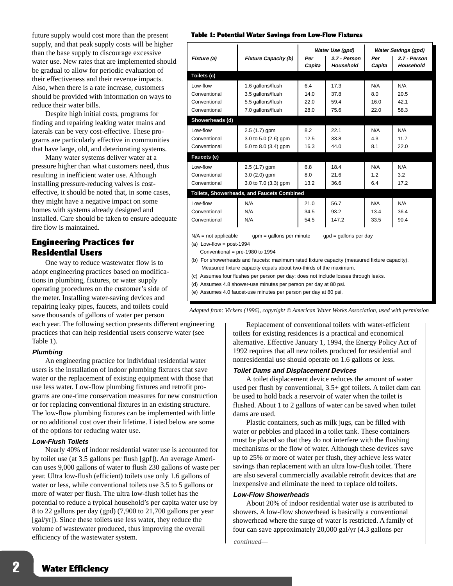future supply would cost more than the present supply, and that peak supply costs will be higher than the base supply to discourage excessive water use. New rates that are implemented should be gradual to allow for periodic evaluation of their effectiveness and their revenue impacts. Also, when there is a rate increase, customers should be provided with information on ways to reduce their water bills.

Despite high initial costs, programs for finding and repairing leaking water mains and laterals can be very cost-effective. These programs are particularly effective in communities that have large, old, and deteriorating systems.

Many water systems deliver water at a pressure higher than what customers need, thus resulting in inefficient water use. Although installing pressure-reducing valves is costeffective, it should be noted that, in some cases, they might have a negative impact on some homes with systems already designed and installed. Care should be taken to ensure adequate fire flow is maintained.

# Engineering Practices for Residential Users

One way to reduce wastewater flow is to adopt engineering practices based on modifications in plumbing, fixtures, or water supply operating procedures on the customer's side of the meter. Installing water-saving devices and repairing leaky pipes, faucets, and toilets could save thousands of gallons of water per person

each year. The following section presents different engineering practices that can help residential users conserve water (see Table 1).

## **Plumbing**

An engineering practice for individual residential water users is the installation of indoor plumbing fixtures that save water or the replacement of existing equipment with those that use less water. Low-flow plumbing fixtures and retrofit programs are one-time conservation measures for new construction or for replacing conventional fixtures in an existing structure. The low-flow plumbing fixtures can be implemented with little or no additional cost over their lifetime. Listed below are some of the options for reducing water use.

## **Low-Flush Toilets**

Nearly 40% of indoor residential water use is accounted for by toilet use (at 3.5 gallons per flush [gpf]). An average American uses 9,000 gallons of water to flush 230 gallons of waste per year. Ultra low-flush (efficient) toilets use only 1.6 gallons of water or less, while conventional toilets use 3.5 to 5 gallons or more of water per flush. The ultra low-flush toilet has the potential to reduce a typical household's per capita water use by 8 to 22 gallons per day (gpd) (7,900 to 21,700 gallons per year [gal/yr]). Since these toilets use less water, they reduce the volume of wastewater produced, thus improving the overall efficiency of the wastewater system.

#### Table 1: Potential Water Savings from Low-Flow Fixtures

|                                                                                                                                                    |                                            | Water Use (gpd) |                                  | <b>Water Savings (gpd)</b> |                                  |
|----------------------------------------------------------------------------------------------------------------------------------------------------|--------------------------------------------|-----------------|----------------------------------|----------------------------|----------------------------------|
| Fixture (a)                                                                                                                                        | <b>Fixture Capacity (b)</b>                | Per<br>Capita   | 2.7 - Person<br><b>Household</b> | Per<br>Capita              | 2.7 - Person<br><b>Household</b> |
| Toilets (c)                                                                                                                                        |                                            |                 |                                  |                            |                                  |
| Low-flow                                                                                                                                           | 1.6 gallons/flush                          | 6.4             | 17.3                             | N/A                        | N/A                              |
| Conventional                                                                                                                                       | 3.5 gallons/flush                          | 14.0            | 37.8                             | 8.0                        | 20.5                             |
| Conventional                                                                                                                                       | 5.5 gallons/flush                          | 22.0            | 59.4                             | 16.0                       | 421                              |
| Conventional                                                                                                                                       | 7.0 gallons/flush                          | 28.0            | 75.6                             | 22.0                       | 58.3                             |
| Showerheads (d)                                                                                                                                    |                                            |                 |                                  |                            |                                  |
| Low-flow                                                                                                                                           | $2.5(1.7)$ gpm                             | 8.2             | 22.1                             | N/A                        | N/A                              |
| Conventional                                                                                                                                       | 3.0 to 5.0 (2.6) gpm                       | 12.5            | 33.8                             | 4.3                        | 11.7                             |
| Conventional                                                                                                                                       | 5.0 to 8.0 (3.4) gpm                       | 16.3            | 44.0                             | 8.1                        | 22.0                             |
| Faucets (e)                                                                                                                                        |                                            |                 |                                  |                            |                                  |
| Low-flow                                                                                                                                           | $2.5(1.7)$ gpm                             | 6.8             | 18.4                             | N/A                        | N/A                              |
| Conventional                                                                                                                                       | $3.0(2.0)$ gpm                             | 8.0             | 21.6                             | 1.2                        | 3.2                              |
| Conventional                                                                                                                                       | 3.0 to 7.0 (3.3) gpm                       | 13.2            | 36.6                             | 6.4                        | 17.2                             |
|                                                                                                                                                    | Toilets, Showerheads, and Faucets Combined |                 |                                  |                            |                                  |
| Low-flow                                                                                                                                           | N/A                                        | 21.0            | 56.7                             | N/A                        | N/A                              |
| Conventional                                                                                                                                       | N/A                                        | 34.5            | 93.2                             | 13.4                       | 36.4                             |
| Conventional                                                                                                                                       | N/A                                        | 54.5            | 147.2                            | 33.5                       | 90.4                             |
| $N/A$ = not applicable<br>$qpm =$ gallons per minute<br>$qpd =$ gallons per day<br>(a) Low-flow = $post-1994$<br>Conventional = $pre-1980$ to 1994 |                                            |                 |                                  |                            |                                  |

(b) For showerheads and faucets: maximum rated fixture capacity (measured fixture capacity). Measured fixture capacity equals about two-thirds of the maximum.

(c) Assumes four flushes per person per day; does not include losses through leaks.

(d) Assumes 4.8 shower-use minutes per person per day at 80 psi.

(e) Assumes 4.0 faucet-use minutes per person per day at 80 psi.

*Adapted from: Vickers (1996), copyright © American Water Works Association, used with permission*

Replacement of conventional toilets with water-efficient toilets for existing residences is a practical and economical alternative. Effective January 1, 1994, the Energy Policy Act of 1992 requires that all new toilets produced for residential and nonresidential use should operate on 1.6 gallons or less.

## **Toilet Dams and Displacement Devices**

A toilet displacement device reduces the amount of water used per flush by conventional, 3.5+ gpf toilets. A toilet dam can be used to hold back a reservoir of water when the toilet is flushed. About 1 to 2 gallons of water can be saved when toilet dams are used.

Plastic containers, such as milk jugs, can be filled with water or pebbles and placed in a toilet tank. These containers must be placed so that they do not interfere with the flushing mechanisms or the flow of water. Although these devices save up to 25% or more of water per flush, they achieve less water savings than replacement with an ultra low-flush toilet. There are also several commercially available retrofit devices that are inexpensive and eliminate the need to replace old toilets.

# **Low-Flow Showerheads**

About 20% of indoor residential water use is attributed to showers. A low-flow showerhead is basically a conventional showerhead where the surge of water is restricted. A family of four can save approximately 20,000 gal/yr (4.3 gallons per

*continued—*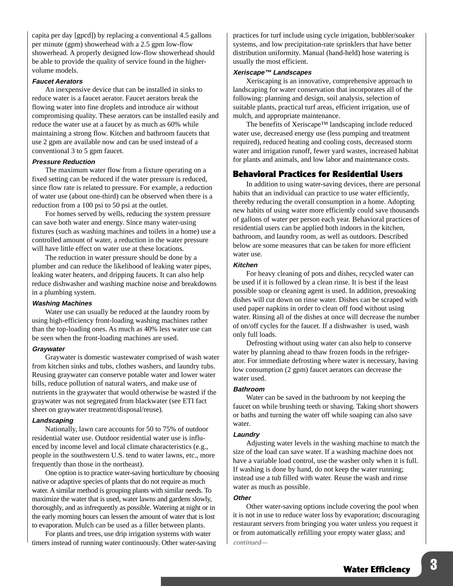capita per day [gpcd]) by replacing a conventional 4.5 gallons per minute (gpm) showerhead with a 2.5 gpm low-flow showerhead. A properly designed low-flow showerhead should be able to provide the quality of service found in the highervolume models.

#### **Faucet Aerators**

An inexpensive device that can be installed in sinks to reduce water is a faucet aerator. Faucet aerators break the flowing water into fine droplets and introduce air without compromising quality. These aerators can be installed easily and reduce the water use at a faucet by as much as 60% while maintaining a strong flow. Kitchen and bathroom faucets that use 2 gpm are available now and can be used instead of a conventional 3 to 5 gpm faucet.

#### **Pressure Reduction**

The maximum water flow from a fixture operating on a fixed setting can be reduced if the water pressure is reduced, since flow rate is related to pressure. For example, a reduction of water use (about one-third) can be observed when there is a reduction from a 100 psi to 50 psi at the outlet.

For homes served by wells, reducing the system pressure can save both water and energy. Since many water-using fixtures (such as washing machines and toilets in a home) use a controlled amount of water, a reduction in the water pressure will have little effect on water use at these locations.

The reduction in water pressure should be done by a plumber and can reduce the likelihood of leaking water pipes, leaking water heaters, and dripping faucets. It can also help reduce dishwasher and washing machine noise and breakdowns in a plumbing system.

#### **Washing Machines**

Water use can usually be reduced at the laundry room by using high-efficiency front-loading washing machines rather than the top-loading ones. As much as 40% less water use can be seen when the front-loading machines are used.

#### **Graywater**

Graywater is domestic wastewater comprised of wash water from kitchen sinks and tubs, clothes washers, and laundry tubs. Reusing graywater can conserve potable water and lower water bills, reduce pollution of natural waters, and make use of nutrients in the graywater that would otherwise be wasted if the graywater was not segregated from blackwater (see ETI fact sheet on graywater treatment/disposal/reuse).

#### **Landscaping**

Nationally, lawn care accounts for 50 to 75% of outdoor residential water use. Outdoor residential water use is influenced by income level and local climate characteristics (e.g., people in the southwestern U.S. tend to water lawns, etc., more frequently than those in the northeast).

One option is to practice water-saving horticulture by choosing native or adaptive species of plants that do not require as much water. A similar method is grouping plants with similar needs. To maximize the water that is used, water lawns and gardens slowly, thoroughly, and as infrequently as possible. Watering at night or in the early morning hours can lessen the amount of water that is lost to evaporation. Mulch can be used as a filler between plants.

For plants and trees, use drip irrigation systems with water timers instead of running water continuously. Other water-saving practices for turf include using cycle irrigation, bubbler/soaker systems, and low precipitation-rate sprinklers that have better distribution uniformity. Manual (hand-held) hose watering is usually the most efficient.

## **Xeriscape™ Landscapes**

Xeriscaping is an innovative, comprehensive approach to landscaping for water conservation that incorporates all of the following: planning and design, soil analysis, selection of suitable plants, practical turf areas, efficient irrigation, use of mulch, and appropriate maintenance.

The benefits of Xeriscape™ landscaping include reduced water use, decreased energy use (less pumping and treatment required), reduced heating and cooling costs, decreased storm water and irrigation runoff, fewer yard wastes, increased habitat for plants and animals, and low labor and maintenance costs.

# Behavioral Practices for Residential Users

In addition to using water-saving devices, there are personal habits that an individual can practice to use water efficiently, thereby reducing the overall consumption in a home. Adopting new habits of using water more efficiently could save thousands of gallons of water per person each year. Behavioral practices of residential users can be applied both indoors in the kitchen, bathroom, and laundry room, as well as outdoors. Described below are some measures that can be taken for more efficient water use.

#### **Kitchen**

For heavy cleaning of pots and dishes, recycled water can be used if it is followed by a clean rinse. It is best if the least possible soap or cleaning agent is used. In addition, presoaking dishes will cut down on rinse water. Dishes can be scraped with used paper napkins in order to clean off food without using water. Rinsing all of the dishes at once will decrease the number of on/off cycles for the faucet. If a dishwasher is used, wash only full loads.

Defrosting without using water can also help to conserve water by planning ahead to thaw frozen foods in the refrigerator. For immediate defrosting where water is necessary, having low consumption (2 gpm) faucet aerators can decrease the water used.

#### **Bathroom**

Water can be saved in the bathroom by not keeping the faucet on while brushing teeth or shaving. Taking short showers or baths and turning the water off while soaping can also save water.

#### **Laundry**

Adjusting water levels in the washing machine to match the size of the load can save water. If a washing machine does not have a variable load control, use the washer only when it is full. If washing is done by hand, do not keep the water running; instead use a tub filled with water. Reuse the wash and rinse water as much as possible.

#### **Other**

*continued—* Other water-saving options include covering the pool when it is not in use to reduce water loss by evaporation; discouraging restaurant servers from bringing you water unless you request it or from automatically refilling your empty water glass; and